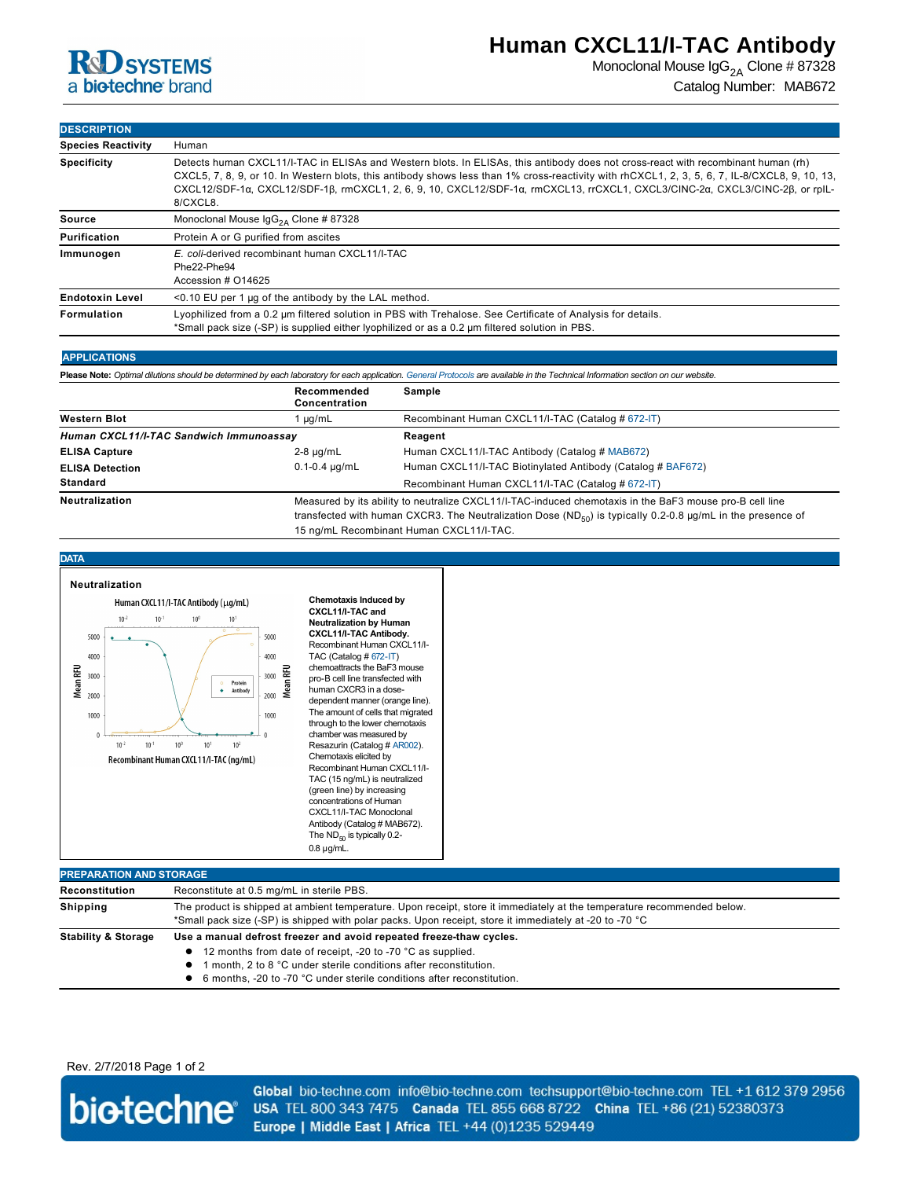

# **Human CXCL11/I-TAC Antibody**

Monoclonal Mouse  $\text{lgG}_{2A}$  Clone # 87328 Catalog Number: MAB672

| <b>DESCRIPTION</b>        |                                                                                                                                                                                                                                                                                                                                                                                                                                 |  |  |
|---------------------------|---------------------------------------------------------------------------------------------------------------------------------------------------------------------------------------------------------------------------------------------------------------------------------------------------------------------------------------------------------------------------------------------------------------------------------|--|--|
| <b>Species Reactivity</b> | Human                                                                                                                                                                                                                                                                                                                                                                                                                           |  |  |
| <b>Specificity</b>        | Detects human CXCL11/I-TAC in ELISAs and Western blots. In ELISAs, this antibody does not cross-react with recombinant human (rh)<br>CXCL5, 7, 8, 9, or 10. In Western blots, this antibody shows less than 1% cross-reactivity with rhCXCL1, 2, 3, 5, 6, 7, IL-8/CXCL8, 9, 10, 13,<br>CXCL12/SDF-1α, CXCL12/SDF-1β, rmCXCL1, 2, 6, 9, 10, CXCL12/SDF-1α, rmCXCL13, rrCXCL1, CXCL3/CINC-2α, CXCL3/CINC-2β, or rpIL-<br>8/CXCL8. |  |  |
| Source                    | Monoclonal Mouse $\text{lgG}_{24}$ Clone # 87328                                                                                                                                                                                                                                                                                                                                                                                |  |  |
| Purification              | Protein A or G purified from ascites                                                                                                                                                                                                                                                                                                                                                                                            |  |  |
| Immunogen                 | E. coli-derived recombinant human CXCL11/I-TAC<br>Phe22-Phe94<br>Accession # 014625                                                                                                                                                                                                                                                                                                                                             |  |  |
| <b>Endotoxin Level</b>    | $\leq$ 0.10 EU per 1 µg of the antibody by the LAL method.                                                                                                                                                                                                                                                                                                                                                                      |  |  |
| <b>Formulation</b>        | Lyophilized from a 0.2 µm filtered solution in PBS with Trehalose. See Certificate of Analysis for details.<br>*Small pack size (-SP) is supplied either lyophilized or as a 0.2 µm filtered solution in PBS.                                                                                                                                                                                                                   |  |  |

## **APPLICATIONS**

**Please Note:** *Optimal dilutions should be determined by each laboratory for each application. [General Protocols](http://www.rndsystems.com/resources/protocols-troubleshooting-guides) are available in the Technical Information section on our website.*

|                                         | Recommended<br>Concentration | Sample                                                                                                                                                                                                                                                                   |  |
|-----------------------------------------|------------------------------|--------------------------------------------------------------------------------------------------------------------------------------------------------------------------------------------------------------------------------------------------------------------------|--|
| <b>Western Blot</b>                     | $\mu q/mL$                   | Recombinant Human CXCL11/I-TAC (Catalog # 672-IT)                                                                                                                                                                                                                        |  |
| Human CXCL11/I-TAC Sandwich Immunoassay |                              | Reagent                                                                                                                                                                                                                                                                  |  |
| <b>ELISA Capture</b>                    | $2-8$ µg/mL                  | Human CXCL11/I-TAC Antibody (Catalog # MAB672)                                                                                                                                                                                                                           |  |
| <b>ELISA Detection</b>                  | $0.1 - 0.4 \mu q/mL$         | Human CXCL11/I-TAC Biotinylated Antibody (Catalog # BAF672)                                                                                                                                                                                                              |  |
| Standard                                |                              | Recombinant Human CXCL11/I-TAC (Catalog # 672-IT)                                                                                                                                                                                                                        |  |
| <b>Neutralization</b>                   |                              | Measured by its ability to neutralize CXCL11/I-TAC-induced chemotaxis in the BaF3 mouse pro-B cell line<br>transfected with human CXCR3. The Neutralization Dose ( $ND_{F0}$ ) is typically 0.2-0.8 µg/mL in the presence of<br>15 ng/mL Recombinant Human CXCL11/I-TAC. |  |



**Shipping** The product is shipped at ambient temperature. Upon receipt, store it immediately at the temperature recommended below. \*Small pack size (SP) is shipped with polar packs. Upon receipt, store it immediately at 20 to 70 °C

### Stability & Storage Use a manual defrost freezer and avoid repeated freeze-thaw cycles.

- 12 months from date of receipt, -20 to -70 °C as supplied.
- **1** month, 2 to 8 °C under sterile conditions after reconstitution.
- 6 months, -20 to -70 °C under sterile conditions after reconstitution.

Rev. 2/7/2018 Page 1 of 2



Global bio-techne.com info@bio-techne.com techsupport@bio-techne.com TEL +1 612 379 2956 USA TEL 800 343 7475 Canada TEL 855 668 8722 China TEL +86 (21) 52380373 Europe | Middle East | Africa TEL +44 (0)1235 529449